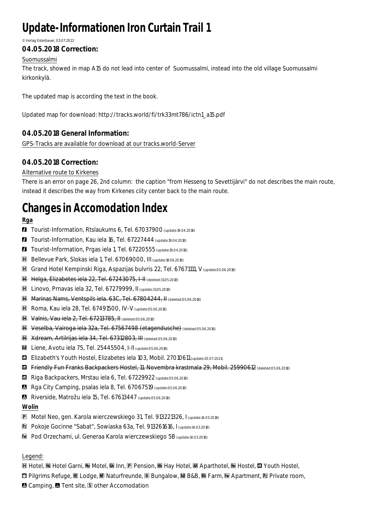# **Update-Informationen Iron Curtain Trail 1**

#### © Verlag Esterbauer, 03.07.2022

## **04.05.2018 Correction:**

### Suomussalmi

The track, showed in map A15 do not lead into center of Suomussalmi, instead into the old village Suomussalmi kirkonkylä.

The updated map is according the text in the book.

Updated map for download: http://tracks.world/fi/trk33mt786/ictn1\_a15.pdf

## **04.05.2018 General Information:**

GPS-Tracks are available for download at our tracks.world-Server

## **04.05.2018 Correction:**

### Alternative route to Kirkenes

There is an error on page 26, 2nd column: the caption "from Hesseng to Sevettijärvi" do not describes the main route, instead it describes the way from Kirkenes ciity center back to the main route.

## **Changes in Accomodation Index**

**Rga**

- **1** Tourist-Information, Rtslaukums 6, Tel. 67037900 (update:19.04.2018)
- **1** Tourist-Information, Kau iela 16, Tel. 67227444 (update:19.04.2018)
- **1** Tourist-Information, Prgas iela 1, Tel. 67220555 (update:19.04.2018)
- **H** Bellevue Park, Slokas iela 1, Tel. 67069000, III (update:18.06.2018)
- **H** Grand Hotel Kempinski Riga, Aspazijas bulvris 22, Tel. 67671111, V (update:05.06.2018)
- **EH** Helga, Elizabetes iela 22, Tel. 67243075, I-II (deleted:31.05.2018)
- #Ħ Linovo, Prnavas iela 32, Tel. 67279999, II (update:31.05.2018)
- **H** Marinas Nams, Ventspils iela. 63C, Tel. 67804244, II (deleted:05.06.2018)
- **H** Roma, Kau iela 28, Tel. 67491500, IV-V (update:05.06.2018)
- **H** Valnis, Vau iela 2, Tel. 67213785, II (deleted:05.06.2018)
- **H** Veselba, Vairoga iela 32a, Tel. 67567498 (etagendusche) (deleted:05.06.2018)
- **H** Xdream, Artilrijas iela 34, Tel. 67312803, III (deleted:05.06.2018)
- **88** Liene, Avotu iela 75, Tel. 25445504, I-II (update:05.06.2018)
- **41** Elizabeth's Youth Hostel, Elizabetes iela 103, Mobil. 27010611 (update:20.07.2021)
- **43** Friendly Fun Franks Backpackers Hostel, 11. Novembra krastmala 29, Mobil. 25990612 (deleted:05.06.2018)
- **11** Riga Backpackers, Mrstau iela 6, Tel. 67229922 (update:05.06.2018)
- Rga City Camping, psalas iela 8, Tel. 67067519 (update:05.06.2018)
- 8 Riverside, Matrožu iela 15, Tel. 67613447 (update:05.06.2018)

#### **Wolin**

- **P** Motel Neo, gen. Karola wierczewskiego 31, Tel. 913221326, I (update:14.03.2018)
- **E** Pokoje Gocinne "Sabat", Sowiaska 63a, Tel. 913261616, I (update:14.03.2018)
- **Ew** Pod Orzechami, ul. Generaa Karola wierczewskiego 5B (update:14.03.2018)

#### Legend:

 $$ 

- **[3] Pilgrims Refuge, Hi Lodge, Hi Naturfreunde, 国 Bungalow, 圝 B&B, 甌 Farm, M Apartment, 囨 Private room,**
- **& Camping, & Tent site, § other Accomodation**